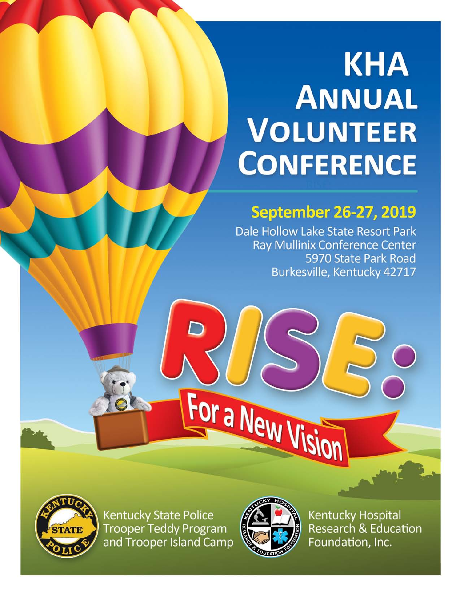# **KHA** ANNUAL VOLUNTEER **CONFERENCE**

# **September 26-27, 2019**

Dale Hollow Lake State Resort Park Ray Mullinix Conference Center 5970 State Park Road Burkesville, Kentucky 42717



**Kentucky State Police Trooper Teddy Program** and Trooper Island Camp



For a New Vision

Kentucky Hospital **Research & Education** Foundation, Inc.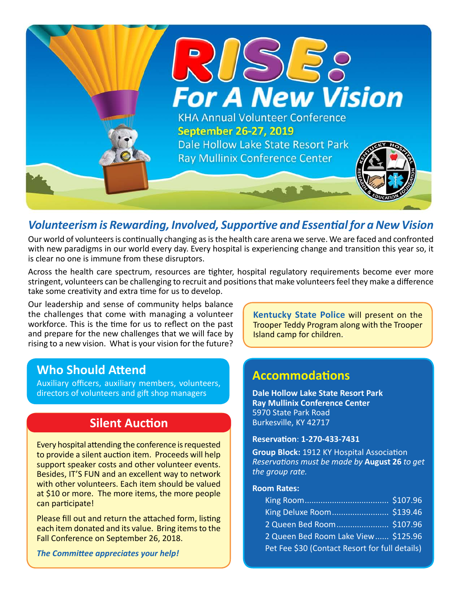

# *Volunteerism is Rewarding, Involved, Supportive and Essential for a New Vision*

Our world of volunteers is continually changing as is the health care arena we serve. We are faced and confronted with new paradigms in our world every day. Every hospital is experiencing change and transition this year so, it is clear no one is immune from these disruptors.

Across the health care spectrum, resources are tighter, hospital regulatory requirements become ever more stringent, volunteers can be challenging to recruit and positions that make volunteers feel they make a difference take some creativity and extra time for us to develop.

Our leadership and sense of community helps balance the challenges that come with managing a volunteer workforce. This is the time for us to reflect on the past and prepare for the new challenges that we will face by rising to a new vision. What is your vision for the future?

# **Who Should Attend**

Auxiliary officers, auxiliary members, volunteers, directors of volunteers and gift shop managers

# **Silent Auction**

Every hospital attending the conference is requested to provide a silent auction item. Proceeds will help support speaker costs and other volunteer events. Besides, IT'S FUN and an excellent way to network with other volunteers. Each item should be valued at \$10 or more. The more items, the more people can participate!

Please fill out and return the attached form, listing each item donated and its value. Bring items to the Fall Conference on September 26, 2018.

*The Committee appreciates your help!*

**Kentucky State Police** will present on the Trooper Teddy Program along with the Trooper Island camp for children..

# **Accommodations**

**Dale Hollow Lake State Resort Park Ray Mullinix Conference Center** 5970 State Park Road Burkesville, KY 42717

#### **Reservation**: **1-270-433-7431**

**Group Block:** 1912 KY Hospital Association *Reservations must be made by* **August 26** *to get the group rate.*

#### **Room Rates:**

| King Deluxe Room \$139.46                      |  |
|------------------------------------------------|--|
|                                                |  |
| 2 Queen Bed Room Lake View \$125.96            |  |
| Pet Fee \$30 (Contact Resort for full details) |  |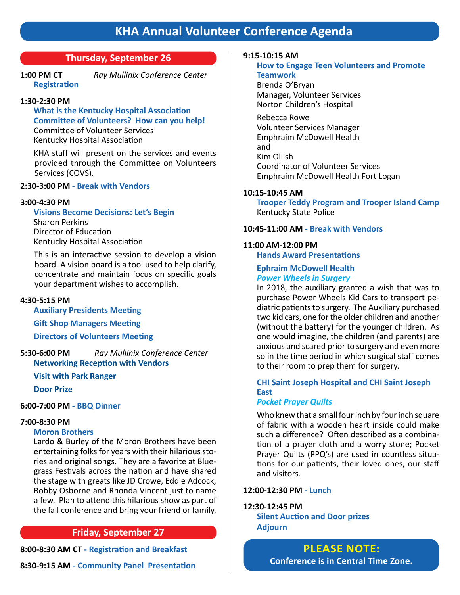## **Thursday, September 26**

**Registration**

**1:00 PM CT** *Ray Mullinix Conference Center*

#### **1:30-2:30 PM**

**What is the Kentucky Hospital Association Committee of Volunteers? How can you help!** Committee of Volunteer Services Kentucky Hospital Association

KHA staff will present on the services and events provided through the Committee on Volunteers Services (COVS).

#### **2:30-3:00 PM - Break with Vendors**

#### **3:00-4:30 PM**

**Visions Become Decisions: Let's Begin** Sharon Perkins Director of Education Kentucky Hospital Association

This is an interactive session to develop a vision board. A vision board is a tool used to help clarify, concentrate and maintain focus on specific goals your department wishes to accomplish.

#### **4:30-5:15 PM**

**Auxiliary Presidents Meeting**

**Gift Shop Managers Meeting**

**Directors of Volunteers Meeting**

**5:30-6:00 PM** *Ray Mullinix Conference Center* **Networking Reception with Vendors**

**Visit with Park Ranger**

**Door Prize**

#### **6:00-7:00 PM - BBQ Dinner**

#### **7:00-8:30 PM**

#### **Moron Brothers**

Lardo & Burley of the Moron Brothers have been entertaining folks for years with their hilarious stories and original songs. They are a favorite at Bluegrass Festivals across the nation and have shared the stage with greats like JD Crowe, Eddie Adcock, Bobby Osborne and Rhonda Vincent just to name a few. Plan to attend this hilarious show as part of the fall conference and bring your friend or family.

#### **Friday, September 27**

**8:00-8:30 AM CT - Registration and Breakfast**

#### **8:30-9:15 AM - Community Panel Presentation**

#### **9:15-10:15 AM**

### **How to Engage Teen Volunteers and Promote**

**Teamwork**

Brenda O'Bryan Manager, Volunteer Services Norton Children's Hospital

Rebecca Rowe Volunteer Services Manager Emphraim McDowell Health and Kim Ollish Coordinator of Volunteer Services Emphraim McDowell Health Fort Logan

#### **10:15-10:45 AM**

**Trooper Teddy Program and Trooper Island Camp** Kentucky State Police

#### **10:45-11:00 AM - Break with Vendors**

#### **11:00 AM-12:00 PM**

**Hands Award Presentations**

# **Ephraim McDowell Health**

*Power Wheels in Surgery*

In 2018, the auxiliary granted a wish that was to purchase Power Wheels Kid Cars to transport pediatric patients to surgery. The Auxiliary purchased two kid cars, one for the older children and another (without the battery) for the younger children. As one would imagine, the children (and parents) are anxious and scared prior to surgery and even more so in the time period in which surgical staff comes to their room to prep them for surgery.

#### **CHI Saint Joseph Hospital and CHI Saint Joseph East**

#### *Pocket Prayer Quilts*

Who knew that a small four inch by four inch square of fabric with a wooden heart inside could make such a difference? Often described as a combination of a prayer cloth and a worry stone; Pocket Prayer Quilts (PPQ's) are used in countless situations for our patients, their loved ones, our staff and visitors.

#### **12:00-12:30 PM - Lunch**

#### **12:30-12:45 PM**

**Silent Auction and Door prizes Adjourn**

> **Please Note: Conference is in Central Time Zone.**